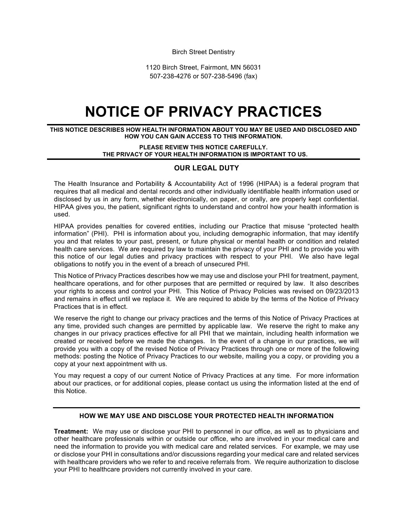Birch Street Dentistry

1120 Birch Street, Fairmont, MN 56031 507-238-4276 or 507-238-5496 (fax)

# **NOTICE OF PRIVACY PRACTICES**

**THIS NOTICE DESCRIBES HOW HEALTH INFORMATION ABOUT YOU MAY BE USED AND DISCLOSED AND HOW YOU CAN GAIN ACCESS TO THIS INFORMATION.**

> **PLEASE REVIEW THIS NOTICE CAREFULLY. THE PRIVACY OF YOUR HEALTH INFORMATION IS IMPORTANT TO US.**

## **OUR LEGAL DUTY**

The Health Insurance and Portability & Accountability Act of 1996 (HIPAA) is a federal program that requires that all medical and dental records and other individually identifiable health information used or disclosed by us in any form, whether electronically, on paper, or orally, are properly kept confidential. HIPAA gives you, the patient, significant rights to understand and control how your health information is used.

HIPAA provides penalties for covered entities, including our Practice that misuse "protected health information" (PHI). PHI is information about you, including demographic information, that may identify you and that relates to your past, present, or future physical or mental health or condition and related health care services. We are required by law to maintain the privacy of your PHI and to provide you with this notice of our legal duties and privacy practices with respect to your PHI. We also have legal obligations to notify you in the event of a breach of unsecured PHI.

This Notice of Privacy Practices describes how we may use and disclose your PHI for treatment, payment, healthcare operations, and for other purposes that are permitted or required by law. It also describes your rights to access and control your PHI. This Notice of Privacy Policies was revised on 09/23/2013 and remains in effect until we replace it. We are required to abide by the terms of the Notice of Privacy Practices that is in effect.

We reserve the right to change our privacy practices and the terms of this Notice of Privacy Practices at any time, provided such changes are permitted by applicable law. We reserve the right to make any changes in our privacy practices effective for all PHI that we maintain, including health information we created or received before we made the changes. In the event of a change in our practices, we will provide you with a copy of the revised Notice of Privacy Practices through one or more of the following methods: posting the Notice of Privacy Practices to our website, mailing you a copy, or providing you a copy at your next appointment with us.

You may request a copy of our current Notice of Privacy Practices at any time. For more information about our practices, or for additional copies, please contact us using the information listed at the end of this Notice.

### **HOW WE MAY USE AND DISCLOSE YOUR PROTECTED HEALTH INFORMATION**

**Treatment:** We may use or disclose your PHI to personnel in our office, as well as to physicians and other healthcare professionals within or outside our office, who are involved in your medical care and need the information to provide you with medical care and related services. For example, we may use or disclose your PHI in consultations and/or discussions regarding your medical care and related services with healthcare providers who we refer to and receive referrals from. We require authorization to disclose your PHI to healthcare providers not currently involved in your care.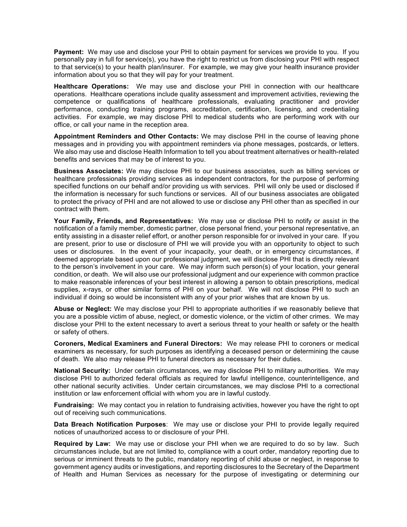**Payment:** We may use and disclose your PHI to obtain payment for services we provide to you. If you personally pay in full for service(s), you have the right to restrict us from disclosing your PHI with respect to that service(s) to your health plan/insurer. For example, we may give your health insurance provider information about you so that they will pay for your treatment.

**Healthcare Operations:** We may use and disclose your PHI in connection with our healthcare operations. Healthcare operations include quality assessment and improvement activities, reviewing the competence or qualifications of healthcare professionals, evaluating practitioner and provider performance, conducting training programs, accreditation, certification, licensing, and credentialing activities. For example, we may disclose PHI to medical students who are performing work with our office, or call your name in the reception area.

**Appointment Reminders and Other Contacts:** We may disclose PHI in the course of leaving phone messages and in providing you with appointment reminders via phone messages, postcards, or letters. We also may use and disclose Health Information to tell you about treatment alternatives or health-related benefits and services that may be of interest to you.

**Business Associates:** We may disclose PHI to our business associates, such as billing services or healthcare professionals providing services as independent contractors, for the purpose of performing specified functions on our behalf and/or providing us with services. PHI will only be used or disclosed if the information is necessary for such functions or services. All of our business associates are obligated to protect the privacy of PHI and are not allowed to use or disclose any PHI other than as specified in our contract with them.

**Your Family, Friends, and Representatives:** We may use or disclose PHI to notify or assist in the notification of a family member, domestic partner, close personal friend, your personal representative, an entity assisting in a disaster relief effort, or another person responsible for or involved in your care. If you are present, prior to use or disclosure of PHI we will provide you with an opportunity to object to such uses or disclosures. In the event of your incapacity, your death, or in emergency circumstances, if deemed appropriate based upon our professional judgment, we will disclose PHI that is directly relevant to the person's involvement in your care. We may inform such person(s) of your location, your general condition, or death. We will also use our professional judgment and our experience with common practice to make reasonable inferences of your best interest in allowing a person to obtain prescriptions, medical supplies, x-rays, or other similar forms of PHI on your behalf. We will not disclose PHI to such an individual if doing so would be inconsistent with any of your prior wishes that are known by us.

**Abuse or Neglect:** We may disclose your PHI to appropriate authorities if we reasonably believe that you are a possible victim of abuse, neglect, or domestic violence, or the victim of other crimes. We may disclose your PHI to the extent necessary to avert a serious threat to your health or safety or the health or safety of others.

**Coroners, Medical Examiners and Funeral Directors:** We may release PHI to coroners or medical examiners as necessary, for such purposes as identifying a deceased person or determining the cause of death. We also may release PHI to funeral directors as necessary for their duties.

**National Security:** Under certain circumstances, we may disclose PHI to military authorities. We may disclose PHI to authorized federal officials as required for lawful intelligence, counterintelligence, and other national security activities. Under certain circumstances, we may disclose PHI to a correctional institution or law enforcement official with whom you are in lawful custody.

**Fundraising:** We may contact you in relation to fundraising activities, however you have the right to opt out of receiving such communications.

**Data Breach Notification Purposes**: We may use or disclose your PHI to provide legally required notices of unauthorized access to or disclosure of your PHI.

**Required by Law:** We may use or disclose your PHI when we are required to do so by law. Such circumstances include, but are not limited to, compliance with a court order, mandatory reporting due to serious or imminent threats to the public, mandatory reporting of child abuse or neglect, in response to government agency audits or investigations, and reporting disclosures to the Secretary of the Department of Health and Human Services as necessary for the purpose of investigating or determining our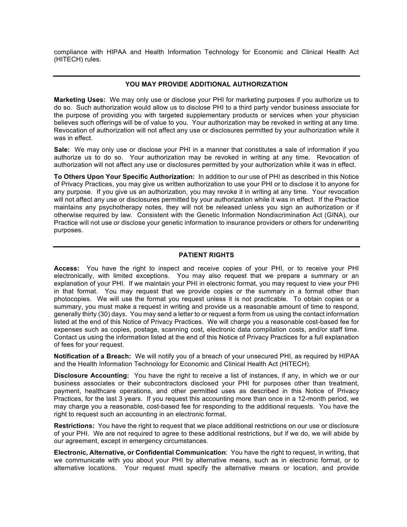compliance with HIPAA and Health Information Technology for Economic and Clinical Health Act (HITECH) rules.

## **YOU MAY PROVIDE ADDITIONAL AUTHORIZATION**

**Marketing Uses:** We may only use or disclose your PHI for marketing purposes if you authorize us to do so. Such authorization would allow us to disclose PHI to a third party vendor business associate for the purpose of providing you with targeted supplementary products or services when your physician believes such offerings will be of value to you. Your authorization may be revoked in writing at any time. Revocation of authorization will not affect any use or disclosures permitted by your authorization while it was in effect.

**Sale:** We may only use or disclose your PHI in a manner that constitutes a sale of information if you authorize us to do so. Your authorization may be revoked in writing at any time. Revocation of authorization will not affect any use or disclosures permitted by your authorization while it was in effect.

**To Others Upon Your Specific Authorization:** In addition to our use of PHI as described in this Notice of Privacy Practices, you may give us written authorization to use your PHI or to disclose it to anyone for any purpose. If you give us an authorization, you may revoke it in writing at any time. Your revocation will not affect any use or disclosures permitted by your authorization while it was in effect. If the Practice maintains any psychotherapy notes, they will not be released unless you sign an authorization or if otherwise required by law. Consistent with the Genetic Information Nondiscrimination Act (GINA), our Practice will not use or disclose your genetic information to insurance providers or others for underwriting purposes.

#### **PATIENT RIGHTS**

**Access:** You have the right to inspect and receive copies of your PHI, or to receive your PHI electronically, with limited exceptions. You may also request that we prepare a summary or an explanation of your PHI. If we maintain your PHI in electronic format, you may request to view your PHI in that format. You may request that we provide copies or the summary in a format other than photocopies. We will use the format you request unless it is not practicable. To obtain copies or a summary, you must make a request in writing and provide us a reasonable amount of time to respond, generally thirty (30) days. You may send a letter to or request a form from us using the contact information listed at the end of this Notice of Privacy Practices. We will charge you a reasonable cost-based fee for expenses such as copies, postage, scanning cost, electronic data compilation costs, and/or staff time. Contact us using the information listed at the end of this Notice of Privacy Practices for a full explanation of fees for your request.

**Notification of a Breach:** We will notify you of a breach of your unsecured PHI, as required by HIPAA and the Health Information Technology for Economic and Clinical Health Act (HITECH).

**Disclosure Accounting:** You have the right to receive a list of instances, if any, in which we or our business associates or their subcontractors disclosed your PHI for purposes other than treatment, payment, healthcare operations, and other permitted uses as described in this Notice of Privacy Practices, for the last 3 years. If you request this accounting more than once in a 12-month period, we may charge you a reasonable, cost-based fee for responding to the additional requests. You have the right to request such an accounting in an electronic format.

**Restrictions:** You have the right to request that we place additional restrictions on our use or disclosure of your PHI. We are not required to agree to these additional restrictions, but if we do, we will abide by our agreement, except in emergency circumstances.

**Electronic, Alternative, or Confidential Communication**: You have the right to request, in writing, that we communicate with you about your PHI by alternative means, such as in electronic format, or to alternative locations. Your request must specify the alternative means or location, and provide